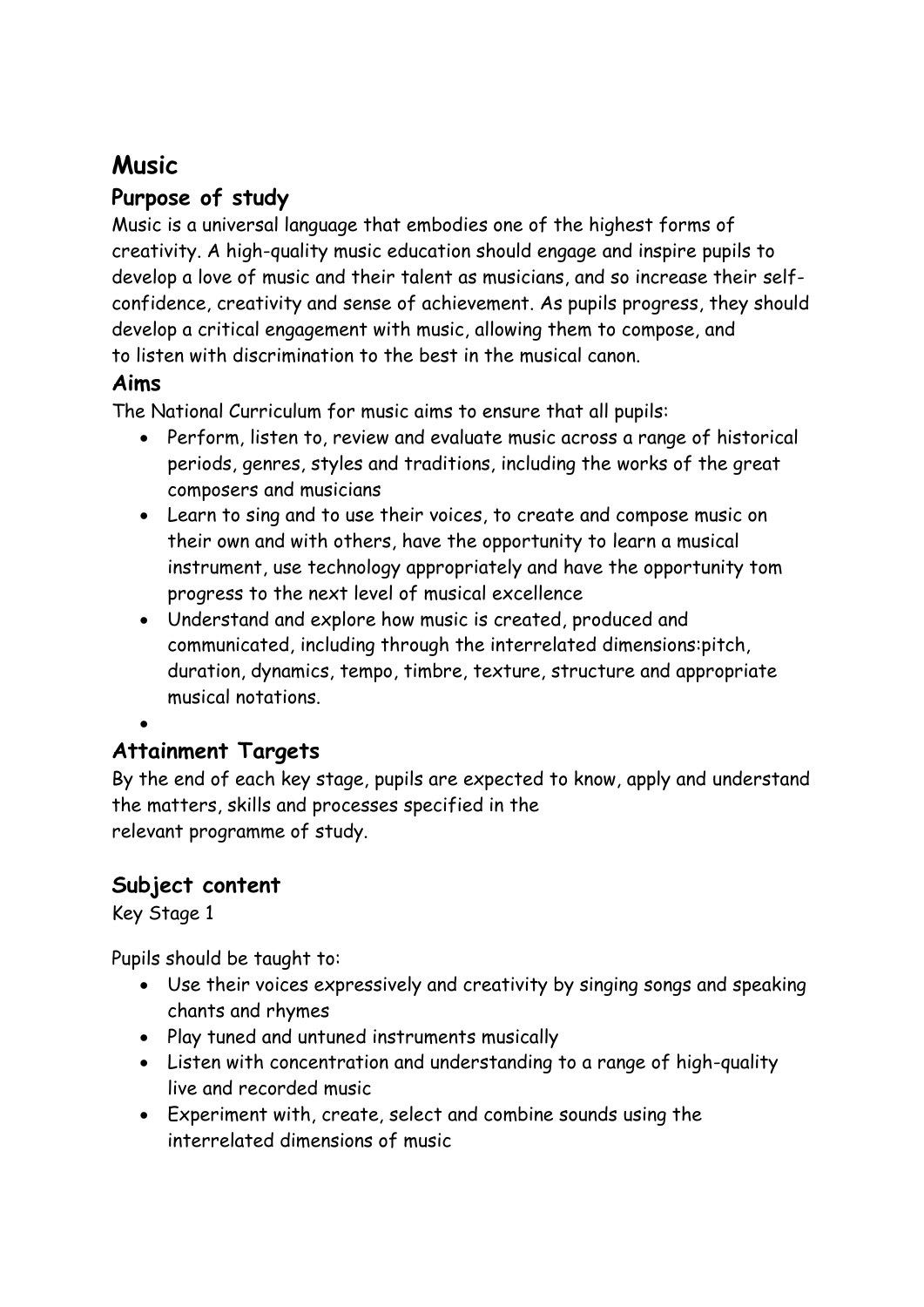# **Music**

# **Purpose of study**

Music is a universal language that embodies one of the highest forms of creativity. A high-quality music education should engage and inspire pupils to develop a love of music and their talent as musicians, and so increase their selfconfidence, creativity and sense of achievement. As pupils progress, they should develop a critical engagement with music, allowing them to compose, and to listen with discrimination to the best in the musical canon.

## **Aims**

The National Curriculum for music aims to ensure that all pupils:

- Perform, listen to, review and evaluate music across a range of historical periods, genres, styles and traditions, including the works of the great composers and musicians
- Learn to sing and to use their voices, to create and compose music on their own and with others, have the opportunity to learn a musical instrument, use technology appropriately and have the opportunity tom progress to the next level of musical excellence
- Understand and explore how music is created, produced and communicated, including through the interrelated dimensions:pitch, duration, dynamics, tempo, timbre, texture, structure and appropriate musical notations.

#### $\bullet$

# **Attainment Targets**

By the end of each key stage, pupils are expected to know, apply and understand the matters, skills and processes specified in the relevant programme of study.

# **Subject content**

Key Stage 1

Pupils should be taught to:

- Use their voices expressively and creativity by singing songs and speaking chants and rhymes
- Play tuned and untuned instruments musically
- Listen with concentration and understanding to a range of high-quality live and recorded music
- Experiment with, create, select and combine sounds using the interrelated dimensions of music